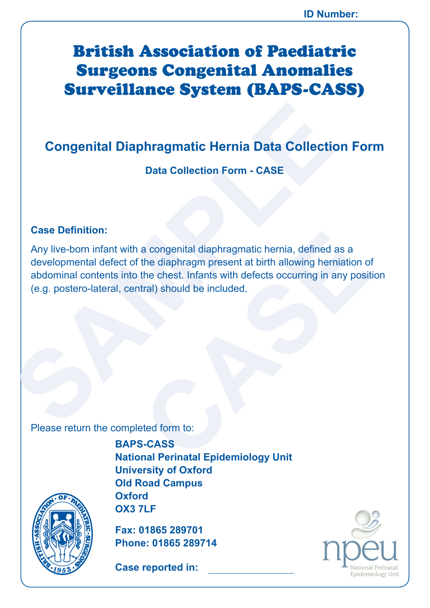# British Association of Paediatric Surgeons Congenital Anomalies Surveillance System (BAPS-CASS)

# **Congenital Diaphragmatic Hernia Data Collection Form**

**Data Collection Form - CASE**

### **Case Definition:**

<u>19</u>

SSOCIATION OF PAEDIC PROPERTY

**PRINT**<br>British

A•

**Congenital Diaphragmatic Hernia Data Collection**<br>
Data Collection Form - CASE<br>
Case Definition:<br>
Any live-born infant with a congenital diaphragmatic hernia, defined a<br>
developmental defect of the diaphragm present at bir a congenital diaphragmatic hernia, defined as a<br>the diaphragm present at birth allowing herniation of<br>the chest. Infants with defects occurring in any posit<br>tral) should be included.<br>Example included.<br>Sacked form to:<br>S-CAS Any live-born infant with a congenital diaphragmatic hernia, defined as a developmental defect of the diaphragm present at birth allowing herniation of abdominal contents into the chest. Infants with defects occurring in any position (e.g. postero-lateral, central) should be included.

Please return the completed form to:

**BAPS-CASS National Perinatal Epidemiology Unit University of Oxford Old Road Campus Oxford OX3 7LF**

**Fax: 01865 289701 Phone: 01865 289714**

**Case reported in:** 

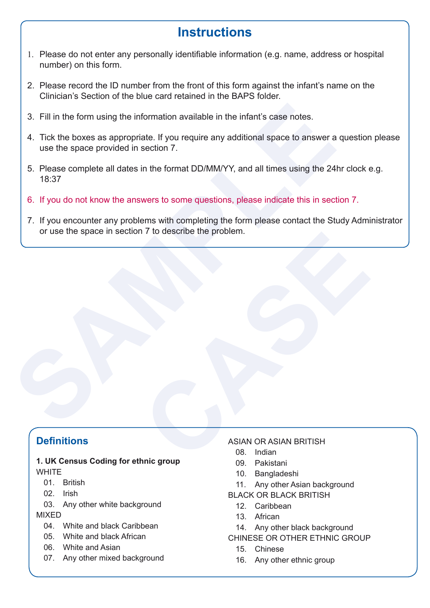# **Instructions**

- 1. Please do not enter any personally identifiable information (e.g. name, address or hospital number) on this form.
- 2. Please record the ID number from the front of this form against the infant's name on the Clinician's Section of the blue card retained in the BAPS folder.
- 3. Fill in the form using the information available in the infant's case notes.
- 4. Tick the boxes as appropriate. If you require any additional space to answer a question please use the space provided in section 7.
- 5. Please complete all dates in the format DD/MM/YY, and all times using the 24hr clock e.g. 18:37
- 6. If you do not know the answers to some questions, please indicate this in section 7.
- 3. Fill in the form using the information available in the infant's case notes.<br>4. Tick the boxes as appropriate. If you require any additional space to answer a<br>use the space provided in section 7.<br>5. Please complete all The describe the problem. 7. If you encounter any problems with completing the form please contact the Study Administrator or use the space in section 7 to describe the problem.

### **Definitions**

### **1. UK Census Coding for ethnic group WHITE**

- 01 **British**
- 02. Irish
- 03. Any other white background

#### MIXED

- 04. White and black Caribbean
- 05. White and black African
- 06. White and Asian
- 07. Any other mixed background

#### ASIAN OR ASIAN BRITISH

- 08. Indian
- 09. Pakistani
- 10. Bangladeshi
- 11. Any other Asian background
- BLACK OR BLACK BRITISH
	- 12. Caribbean
	- 13. African
	- 14. Any other black background
- CHINESE OR OTHER ETHNIC GROUP
	- 15. Chinese
	- 16. Any other ethnic group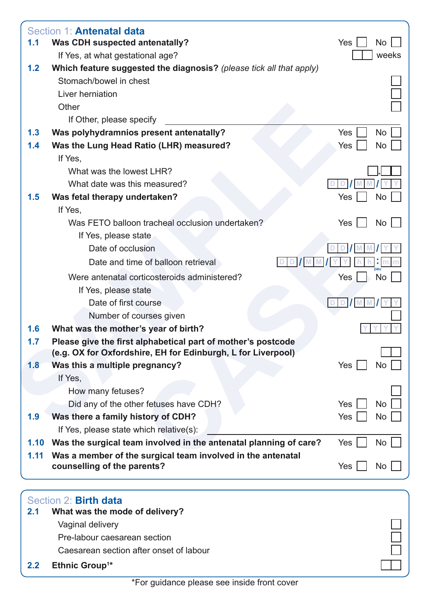|      | Section 1: <b>Antenatal data</b>                                                                                             |            |           |
|------|------------------------------------------------------------------------------------------------------------------------------|------------|-----------|
| 1.1  | <b>Was CDH suspected antenatally?</b>                                                                                        | Yes        | $No$ $ $  |
|      | If Yes, at what gestational age?                                                                                             |            | weeks     |
| 1.2  | Which feature suggested the diagnosis? (please tick all that apply)                                                          |            |           |
|      | Stomach/bowel in chest                                                                                                       |            |           |
|      | Liver herniation                                                                                                             |            |           |
|      | Other                                                                                                                        |            |           |
|      | If Other, please specify                                                                                                     |            |           |
| 1.3  | Was polyhydramnios present antenatally?                                                                                      | <b>Yes</b> | No        |
| 1.4  | Was the Lung Head Ratio (LHR) measured?                                                                                      | Yes        | No        |
|      | If Yes,                                                                                                                      |            |           |
|      | What was the lowest LHR?                                                                                                     |            |           |
|      | What date was this measured?                                                                                                 |            |           |
| 1.5  | Was fetal therapy undertaken?                                                                                                | Yes        | No        |
|      | If Yes,                                                                                                                      |            |           |
|      | Was FETO balloon tracheal occlusion undertaken?                                                                              | Yes        | No        |
|      | If Yes, please state                                                                                                         |            |           |
|      | Date of occlusion                                                                                                            |            |           |
|      | Date and time of balloon retrieval                                                                                           |            |           |
|      | Were antenatal corticosteroids administered?                                                                                 | Yes        | No        |
|      | If Yes, please state                                                                                                         |            |           |
|      | Date of first course                                                                                                         |            |           |
|      | Number of courses given                                                                                                      |            |           |
| 1.6  | What was the mother's year of birth?                                                                                         |            |           |
| 1.7  | Please give the first alphabetical part of mother's postcode<br>(e.g. OX for Oxfordshire, EH for Edinburgh, L for Liverpool) |            |           |
| 1.8  | Was this a multiple pregnancy?                                                                                               | Yes        | No        |
|      | If Yes,                                                                                                                      |            |           |
|      | How many fetuses?                                                                                                            |            |           |
|      | Did any of the other fetuses have CDH?                                                                                       | <b>Yes</b> | <b>No</b> |
| 1.9  | Was there a family history of CDH?                                                                                           | Yes        | No        |
|      | If Yes, please state which relative(s):                                                                                      |            |           |
| 1.10 | Was the surgical team involved in the antenatal planning of care?                                                            | Yes        | No        |
| 1.11 | Was a member of the surgical team involved in the antenatal                                                                  |            |           |
|      | counselling of the parents?                                                                                                  | Yes        | No        |
|      |                                                                                                                              |            |           |
|      | Section 2: Birth data                                                                                                        |            |           |
| 2.1  | What was the mode of delivery?                                                                                               |            |           |
|      | Vaginal delivery                                                                                                             |            |           |
|      | Pre-labour caesarean section                                                                                                 |            |           |
|      | Caesarean section after onset of labour                                                                                      |            |           |

**2.2 Ethnic Group1 \***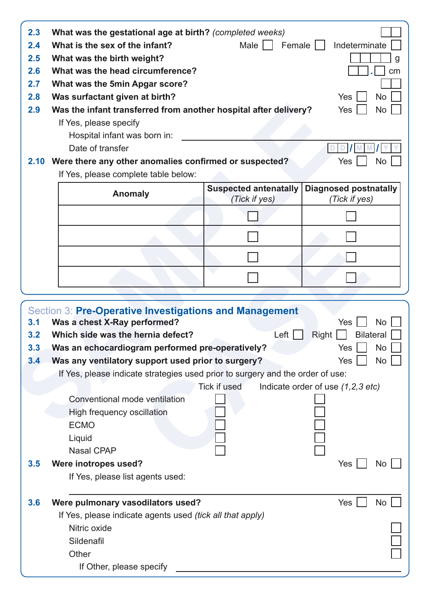| 2.4<br>2.5<br>2.6<br>2.7<br>2.8<br>2.9 | What was the gestational age at birth? (completed weeks)<br>What is the sex of the infant?<br>What was the birth weight?<br>What was the head circumference?<br>What was the 5min Apgar score?<br>Was surfactant given at birth?<br>Was the infant transferred from another hospital after delivery?<br>If Yes, please specify | Male                         | Female    <br>Indeterminate<br>g<br>cm<br>Yes<br><b>No</b><br>Yes<br>No |
|----------------------------------------|--------------------------------------------------------------------------------------------------------------------------------------------------------------------------------------------------------------------------------------------------------------------------------------------------------------------------------|------------------------------|-------------------------------------------------------------------------|
|                                        | Hospital infant was born in:                                                                                                                                                                                                                                                                                                   |                              |                                                                         |
|                                        | Date of transfer                                                                                                                                                                                                                                                                                                               |                              | D                                                                       |
|                                        | 2.10 Were there any other anomalies confirmed or suspected?                                                                                                                                                                                                                                                                    |                              | Yes<br>No                                                               |
|                                        | If Yes, please complete table below:                                                                                                                                                                                                                                                                                           |                              |                                                                         |
|                                        | <b>Anomaly</b>                                                                                                                                                                                                                                                                                                                 | <b>Suspected antenatally</b> | <b>Diagnosed postnatally</b>                                            |
|                                        |                                                                                                                                                                                                                                                                                                                                | (Tick if yes)                | (Tick if yes)                                                           |
|                                        |                                                                                                                                                                                                                                                                                                                                |                              |                                                                         |
|                                        |                                                                                                                                                                                                                                                                                                                                |                              |                                                                         |
|                                        |                                                                                                                                                                                                                                                                                                                                |                              |                                                                         |
|                                        |                                                                                                                                                                                                                                                                                                                                |                              |                                                                         |
|                                        |                                                                                                                                                                                                                                                                                                                                |                              |                                                                         |
|                                        |                                                                                                                                                                                                                                                                                                                                |                              |                                                                         |
| 3.1<br>3.2                             | Section 3: Pre-Operative Investigations and Management<br>Was a chest X-Ray performed?<br>Which side was the hernia defect?                                                                                                                                                                                                    | Left                         | Yes<br><b>No</b><br><b>Bilateral</b><br>Right                           |
| 3.3                                    | Was an echocardiogram performed pre-operatively?                                                                                                                                                                                                                                                                               |                              | $\Box$ No<br>Yes                                                        |
| 3.4                                    | Was any ventilatory support used prior to surgery?                                                                                                                                                                                                                                                                             |                              | Yes<br>No                                                               |
|                                        | If Yes, please indicate strategies used prior to surgery and the order of use:                                                                                                                                                                                                                                                 |                              |                                                                         |
|                                        |                                                                                                                                                                                                                                                                                                                                | Tick if used                 | Indicate order of use (1,2,3 etc)                                       |
|                                        | Conventional mode ventilation                                                                                                                                                                                                                                                                                                  |                              |                                                                         |
|                                        | High frequency oscillation                                                                                                                                                                                                                                                                                                     |                              |                                                                         |
|                                        | <b>ECMO</b>                                                                                                                                                                                                                                                                                                                    |                              |                                                                         |
|                                        | Liquid                                                                                                                                                                                                                                                                                                                         |                              |                                                                         |
|                                        | <b>Nasal CPAP</b>                                                                                                                                                                                                                                                                                                              |                              |                                                                         |
| 3.5                                    | Were inotropes used?<br>If Yes, please list agents used:                                                                                                                                                                                                                                                                       |                              | Yes<br>No                                                               |
|                                        |                                                                                                                                                                                                                                                                                                                                |                              |                                                                         |
| 3.6                                    | Were pulmonary vasodilators used?                                                                                                                                                                                                                                                                                              |                              | Yes<br>No                                                               |
|                                        | If Yes, please indicate agents used (tick all that apply)<br>Nitric oxide                                                                                                                                                                                                                                                      |                              |                                                                         |
|                                        | Sildenafil                                                                                                                                                                                                                                                                                                                     |                              |                                                                         |
|                                        | Other                                                                                                                                                                                                                                                                                                                          |                              |                                                                         |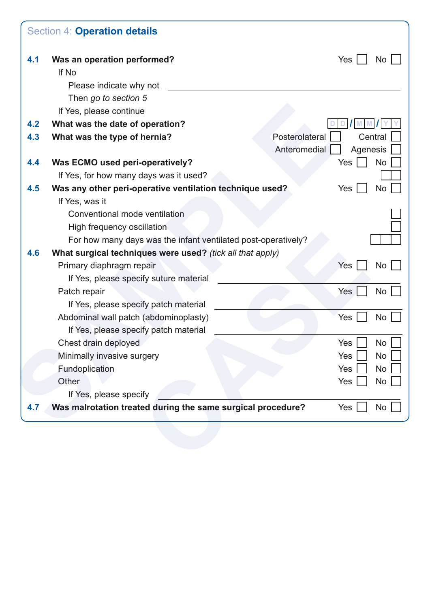| 4.1 | Was an operation performed?                                   | Yes<br><b>No</b>          |
|-----|---------------------------------------------------------------|---------------------------|
|     | If No                                                         |                           |
|     | Please indicate why not                                       |                           |
|     | Then go to section 5                                          |                           |
|     | If Yes, please continue                                       |                           |
| 4.2 | What was the date of operation?                               |                           |
| 4.3 | What was the type of hernia?                                  | Posterolateral<br>Central |
|     |                                                               | Anteromedial<br>Agenesis  |
| 4.4 | Was ECMO used peri-operatively?                               | <b>No</b><br>Yes          |
|     | If Yes, for how many days was it used?                        |                           |
| 4.5 | Was any other peri-operative ventilation technique used?      | Yes<br>No                 |
|     | If Yes, was it                                                |                           |
|     | Conventional mode ventilation                                 |                           |
|     | High frequency oscillation                                    |                           |
|     | For how many days was the infant ventilated post-operatively? |                           |
| 4.6 | What surgical techniques were used? (tick all that apply)     |                           |
|     | Primary diaphragm repair                                      | No<br>Yes                 |
|     | If Yes, please specify suture material                        |                           |
|     | Patch repair                                                  | Yes<br>No                 |
|     | If Yes, please specify patch material                         |                           |
|     | Abdominal wall patch (abdominoplasty)                         | Yes<br><b>No</b>          |
|     | If Yes, please specify patch material                         |                           |
|     | Chest drain deployed                                          | <b>No</b><br>Yes          |
|     | Minimally invasive surgery                                    | No<br><b>Yes</b>          |
|     | Fundoplication                                                | Yes<br>No                 |
|     | Other                                                         | Yes<br>No                 |
|     | If Yes, please specify                                        |                           |
| 4.7 | Was malrotation treated during the same surgical procedure?   | Yes  <br>No               |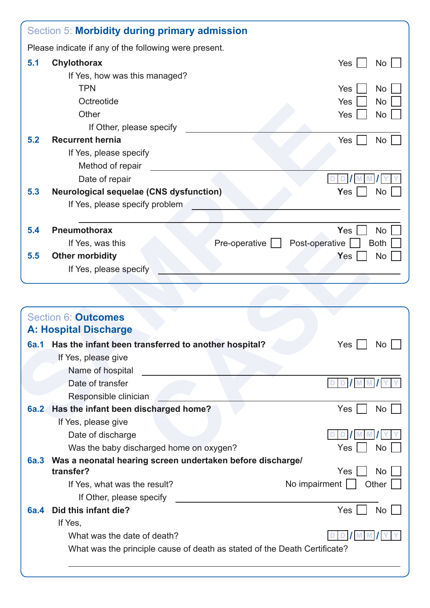|             | Section 5: Morbidity during primary admission             |                   |                               |
|-------------|-----------------------------------------------------------|-------------------|-------------------------------|
|             | Please indicate if any of the following were present.     |                   |                               |
| 5.1         | Chylothorax                                               |                   | <b>Yes</b><br>No <sub>1</sub> |
|             | If Yes, how was this managed?                             |                   |                               |
|             | <b>TPN</b>                                                |                   | Yes<br><b>No</b>              |
|             | Octreotide                                                |                   | Yes<br>No                     |
|             | Other                                                     |                   | No<br>Yes                     |
|             | If Other, please specify                                  |                   |                               |
| 5.2         | <b>Recurrent hernia</b>                                   |                   | Yes  <br><b>No</b>            |
|             | If Yes, please specify                                    |                   |                               |
|             | Method of repair                                          |                   |                               |
|             | Date of repair                                            |                   |                               |
| 5.3         | <b>Neurological sequelae (CNS dysfunction)</b>            |                   | <b>Yes</b><br><b>No</b>       |
|             | If Yes, please specify problem                            |                   |                               |
|             |                                                           |                   |                               |
| 5.4         | <b>Pneumothorax</b>                                       |                   | <b>Yes</b><br><b>No</b>       |
|             | If Yes, was this                                          | Pre-operative $ $ | Post-operative<br><b>Both</b> |
| 5.5         | <b>Other morbidity</b>                                    |                   | <b>No</b><br>Yes              |
|             | If Yes, please specify                                    |                   |                               |
|             | <b>Section 6: Outcomes</b>                                |                   |                               |
|             | <b>A: Hospital Discharge</b>                              |                   |                               |
|             | 6a.1 Has the infant been transferred to another hospital? |                   | $Yes \bigsqcup No \bigsqcup$  |
|             | If Yes, please give                                       |                   |                               |
|             | Name of hospital                                          |                   |                               |
|             | Date of transfer                                          |                   | DD MM                         |
|             | Responsible clinician                                     |                   |                               |
| <b>6a.2</b> | Has the infant been discharged home?                      |                   | Yes  <br>No                   |
|             | If Yes, please give                                       |                   |                               |

| ∪.4  | <u>FIIGUIIIUUIUI AA</u>                                                   |               | 1001<br><b>IVU</b>            |
|------|---------------------------------------------------------------------------|---------------|-------------------------------|
|      | If Yes, was this                                                          | Pre-operative | Post-operative<br><b>Both</b> |
| 5.5  | <b>Other morbidity</b>                                                    |               | <b>No</b><br>Yes              |
|      | If Yes, please specify                                                    |               |                               |
|      |                                                                           |               |                               |
|      |                                                                           |               |                               |
|      | Section 6: <b>Outcomes</b>                                                |               |                               |
|      | <b>A: Hospital Discharge</b>                                              |               |                               |
| 6a.1 | Has the infant been transferred to another hospital?                      |               | $Yes$  <br>No                 |
|      | If Yes, please give                                                       |               |                               |
|      | Name of hospital                                                          |               |                               |
|      | Date of transfer                                                          |               | DD / M M                      |
|      | Responsible clinician                                                     |               |                               |
| 6a.2 | Has the infant been discharged home?                                      |               | $Yes \mid$<br>No              |
|      | If Yes, please give                                                       |               |                               |
|      | Date of discharge                                                         |               |                               |
|      | Was the baby discharged home on oxygen?                                   |               | Yes<br><b>No</b>              |
| 6a.3 | Was a neonatal hearing screen undertaken before discharge/                |               |                               |
|      | transfer?                                                                 |               | Yes<br><b>No</b>              |
|      | If Yes, what was the result?                                              |               | No impairment<br>Other        |
|      | If Other, please specify                                                  |               |                               |
| 6a.4 | Did this infant die?                                                      |               | Yes<br><b>No</b>              |
|      | If Yes,                                                                   |               |                               |
|      | What was the date of death?                                               |               |                               |
|      | What was the principle cause of death as stated of the Death Certificate? |               |                               |
|      |                                                                           |               |                               |
|      |                                                                           |               |                               |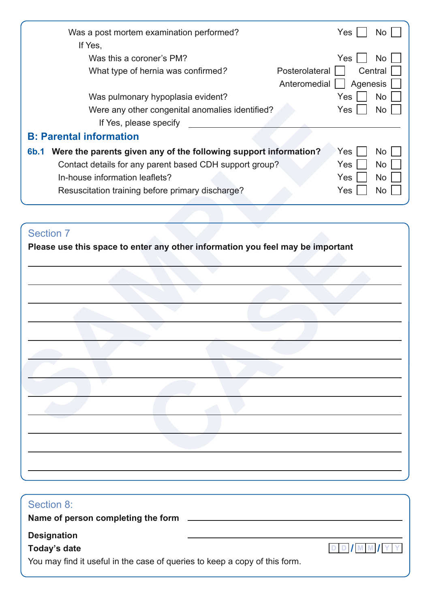| Was a post mortem examination performed?                                        | Yes<br>No l            |
|---------------------------------------------------------------------------------|------------------------|
| If Yes,                                                                         |                        |
| Was this a coroner's PM?                                                        | Yes<br>No              |
| Posterolateral<br>What type of hernia was confirmed?                            | Central                |
| Anteromedial                                                                    | Agenesis               |
| Was pulmonary hypoplasia evident?                                               | Yes<br>No              |
| Were any other congenital anomalies identified?                                 | <b>Yes</b><br>No.      |
| If Yes, please specify                                                          |                        |
| <b>B: Parental information</b>                                                  |                        |
| Were the parents given any of the following support information?<br><b>6b.1</b> | Yes<br>No <sub>1</sub> |
| Contact details for any parent based CDH support group?                         | <b>Yes</b><br>No       |
| In-house information leaflets?                                                  | <b>Yes</b><br>No       |
| Resuscitation training before primary discharge?                                | <b>Yes</b><br>No.      |

### Section 7

| Were any other congenital anomalies identified?<br>If Yes, please specify      | Yes | <b>No</b> |
|--------------------------------------------------------------------------------|-----|-----------|
| <b>B: Parental information</b>                                                 |     |           |
| 6b.1 Were the parents given any of the following support information?          | Yes | <b>No</b> |
| Contact details for any parent based CDH support group?                        | Yes | <b>No</b> |
| In-house information leaflets?                                                 | Yes | <b>No</b> |
| Resuscitation training before primary discharge?                               | Yes | <b>No</b> |
|                                                                                |     |           |
|                                                                                |     |           |
| <b>Section 7</b>                                                               |     |           |
| Please use this space to enter any other information you feel may be important |     |           |
|                                                                                |     |           |
|                                                                                |     |           |
|                                                                                |     |           |
|                                                                                |     |           |
|                                                                                |     |           |
|                                                                                |     |           |
|                                                                                |     |           |
|                                                                                |     |           |
|                                                                                |     |           |
|                                                                                |     |           |
|                                                                                |     |           |
|                                                                                |     |           |
|                                                                                |     |           |
|                                                                                |     |           |

| Section 8:                                                                 |          |
|----------------------------------------------------------------------------|----------|
| Name of person completing the form                                         |          |
| <b>Designation</b>                                                         |          |
| Today's date                                                               | DD/MM/YY |
| You may find it useful in the case of queries to keep a copy of this form. |          |